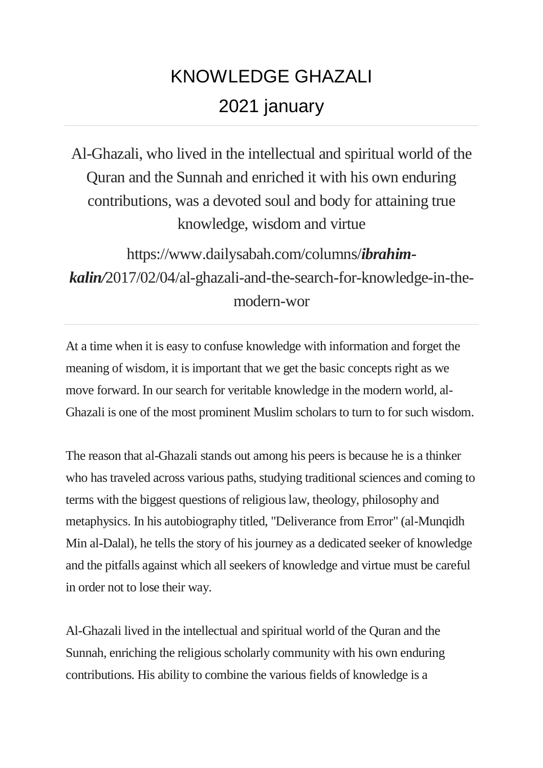## KNOWLEDGE GHAZALI 2021 january

Al-Ghazali, who lived in the intellectual and spiritual world of the Quran and the Sunnah and enriched it with his own enduring contributions, was a devoted soul and body for attaining true knowledge, wisdom and virtue

https://www.dailysabah.com/columns/*ibrahimkalin/*2017/02/04/al-ghazali-and-the-search-for-knowledge-in-themodern-wor

At a time when it is easy to confuse knowledge with information and forget the meaning of wisdom, it is important that we get the basic concepts right as we move forward. In our search for veritable knowledge in the modern world, al-Ghazali is one of the most prominent Muslim scholars to turn to for such wisdom.

The reason that al-Ghazali stands out among his peers is because he is a thinker who has traveled across various paths, studying traditional sciences and coming to terms with the biggest questions of religious law, theology, philosophy and metaphysics. In his autobiography titled, "Deliverance from Error" (al-Munqidh Min al-Dalal), he tells the story of his journey as a dedicated seeker of knowledge and the pitfalls against which all seekers of knowledge and virtue must be careful in order not to lose their way.

Al-Ghazali lived in the intellectual and spiritual world of the Quran and the Sunnah, enriching the religious scholarly community with his own enduring contributions. His ability to combine the various fields of knowledge is a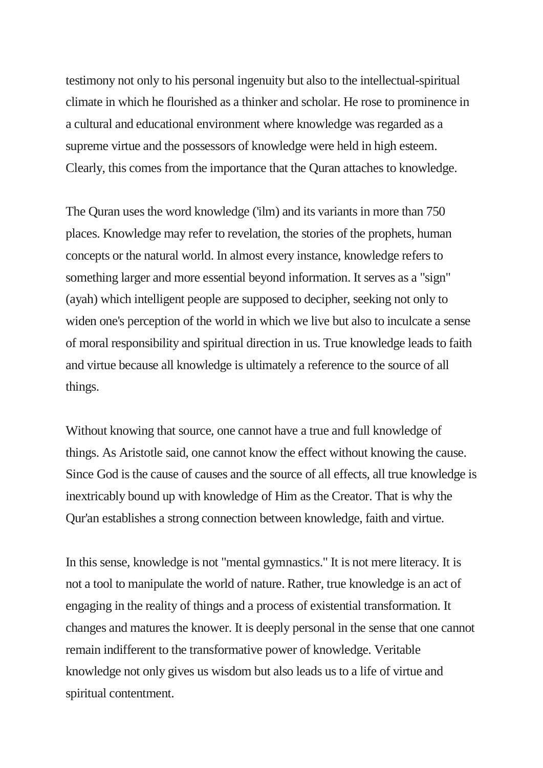testimony not only to his personal ingenuity but also to the intellectual-spiritual climate in which he flourished as a thinker and scholar. He rose to prominence in a cultural and educational environment where knowledge was regarded as a supreme virtue and the possessors of knowledge were held in high esteem. Clearly, this comes from the importance that the Quran attaches to knowledge.

The Quran uses the word knowledge ('ilm) and its variants in more than 750 places. Knowledge may refer to revelation, the stories of the prophets, human concepts or the natural world. In almost every instance, knowledge refers to something larger and more essential beyond information. It serves as a "sign" (ayah) which intelligent people are supposed to decipher, seeking not only to widen one's perception of the world in which we live but also to inculcate a sense of moral responsibility and spiritual direction in us. True knowledge leads to faith and virtue because all knowledge is ultimately a reference to the source of all things.

Without knowing that source, one cannot have a true and full knowledge of things. As Aristotle said, one cannot know the effect without knowing the cause. Since God is the cause of causes and the source of all effects, all true knowledge is inextricably bound up with knowledge of Him as the Creator. That is why the Qur'an establishes a strong connection between knowledge, faith and virtue.

In this sense, knowledge is not "mental gymnastics." It is not mere literacy. It is not a tool to manipulate the world of nature. Rather, true knowledge is an act of engaging in the reality of things and a process of existential transformation. It changes and matures the knower. It is deeply personal in the sense that one cannot remain indifferent to the transformative power of knowledge. Veritable knowledge not only gives us wisdom but also leads us to a life of virtue and spiritual contentment.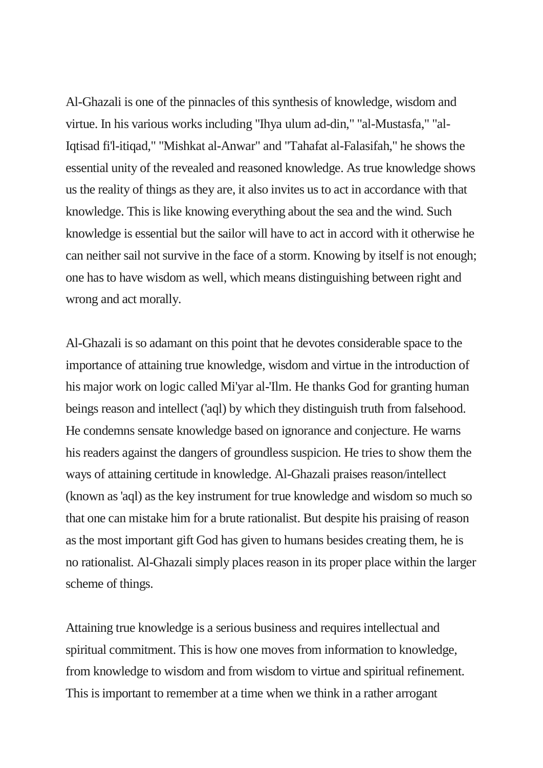Al-Ghazali is one of the pinnacles of this synthesis of knowledge, wisdom and virtue. In his various works including "Ihya ulum ad-din," "al-Mustasfa," "al-Iqtisad fi'l-itiqad," "Mishkat al-Anwar" and "Tahafat al-Falasifah," he shows the essential unity of the revealed and reasoned knowledge. As true knowledge shows us the reality of things as they are, it also invites us to act in accordance with that knowledge. This is like knowing everything about the sea and the wind. Such knowledge is essential but the sailor will have to act in accord with it otherwise he can neither sail not survive in the face of a storm. Knowing by itself is not enough; one has to have wisdom as well, which means distinguishing between right and wrong and act morally.

Al-Ghazali is so adamant on this point that he devotes considerable space to the importance of attaining true knowledge, wisdom and virtue in the introduction of his major work on logic called Mi'yar al-'Ilm. He thanks God for granting human beings reason and intellect ('aql) by which they distinguish truth from falsehood. He condemns sensate knowledge based on ignorance and conjecture. He warns his readers against the dangers of groundless suspicion. He tries to show them the ways of attaining certitude in knowledge. Al-Ghazali praises reason/intellect (known as 'aql) as the key instrument for true knowledge and wisdom so much so that one can mistake him for a brute rationalist. But despite his praising of reason as the most important gift God has given to humans besides creating them, he is no rationalist. Al-Ghazali simply places reason in its proper place within the larger scheme of things.

Attaining true knowledge is a serious business and requires intellectual and spiritual commitment. This is how one moves from information to knowledge, from knowledge to wisdom and from wisdom to virtue and spiritual refinement. This is important to remember at a time when we think in a rather arrogant